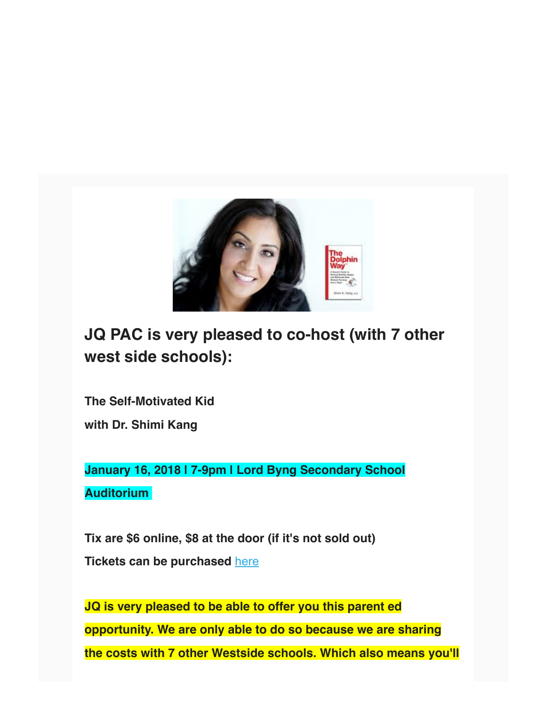

## **JQ PAC is very pleased to co-host (with 7 other west side schools):**

**The Self-Motivated Kid with Dr. Shimi Kang**

**January 16, 2018 | 7-9pm | Lord Byng Secondary School Auditorium** 

**Tix are \$6 online, \$8 at the door (if it's not sold out) Tickets can be purchased** here

**JQ is very pleased to be able to offer you this parent ed opportunity. We are only able to do so because we are sharing the costs with 7 other Westside schools. Which also means you'll**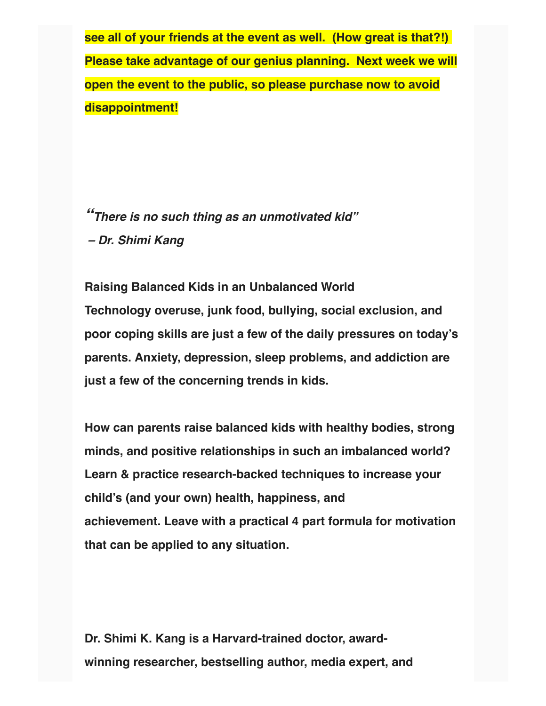**see all of your friends at the event as well. (How great is that?!) Please take advantage of our genius planning. Next week we will open the event to the public, so please purchase now to avoid disappointment!**

**"There is no such thing as an unmotivated kid" – Dr. Shimi Kang**

**Raising Balanced Kids in an Unbalanced World Technology overuse, junk food, bullying, social exclusion, and poor coping skills are just a few of the daily pressures on today's parents. Anxiety, depression, sleep problems, and addiction are just a few of the concerning trends in kids.** 

**How can parents raise balanced kids with healthy bodies, strong minds, and positive relationships in such an imbalanced world? Learn & practice research-backed techniques to increase your child's (and your own) health, happiness, and achievement. Leave with a practical 4 part formula for motivation that can be applied to any situation.** 

**Dr. Shimi K. Kang is a Harvard-trained doctor, awardwinning researcher, bestselling author, media expert, and**